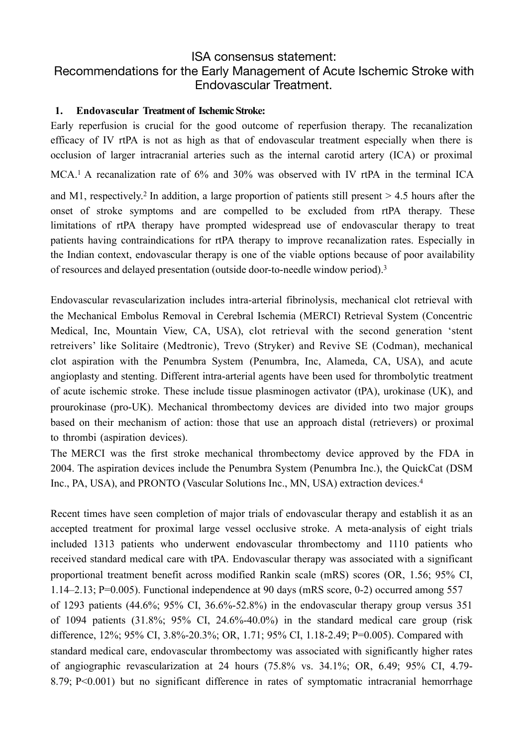# ISA consensus statement: Recommendations for the Early Management of Acute Ischemic Stroke with Endovascular Treatment.

#### **1. Endovascular Treatment of Ischemic Stroke:**

Early reperfusion is crucial for the good outcome of reperfusion therapy. The recanalization efficacy of IV rtPA is not as high as that of endovascular treatment especially when there is occlusion of larger intracranial arteries such as the internal carotid artery (ICA) or proximal MCA.<sup>1</sup> A recanalization rate of 6% and 30% was observed with IV rtPA in the terminal ICA

and M1, respectively.<sup>2</sup> In addition, a large proportion of patients still present  $> 4.5$  hours after the onset of stroke symptoms and are compelled to be excluded from rtPA therapy. These limitations of rtPA therapy have prompted widespread use of endovascular therapy to treat patients having contraindications for rtPA therapy to improve recanalization rates. Especially in the Indian context, endovascular therapy is one of the viable options because of poor availability of resources and delayed presentation (outside door-to-needle window period).3

Endovascular revascularization includes intra-arterial fibrinolysis, mechanical clot retrieval with the Mechanical Embolus Removal in Cerebral Ischemia (MERCI) Retrieval System (Concentric Medical, Inc, Mountain View, CA, USA), clot retrieval with the second generation 'stent retreivers' like Solitaire (Medtronic), Trevo (Stryker) and Revive SE (Codman), mechanical clot aspiration with the Penumbra System (Penumbra, Inc, Alameda, CA, USA), and acute angioplasty and stenting. Different intra-arterial agents have been used for thrombolytic treatment of acute ischemic stroke. These include tissue plasminogen activator (tPA), urokinase (UK), and prourokinase (pro-UK). Mechanical thrombectomy devices are divided into two major groups based on their mechanism of action: those that use an approach distal (retrievers) or proximal to thrombi (aspiration devices).

The MERCI was the first stroke mechanical thrombectomy device approved by the FDA in 2004. The aspiration devices include the Penumbra System (Penumbra Inc.), the QuickCat (DSM Inc., PA, USA), and PRONTO (Vascular Solutions Inc., MN, USA) extraction devices.4

Recent times have seen completion of major trials of endovascular therapy and establish it as an accepted treatment for proximal large vessel occlusive stroke. A meta-analysis of eight trials included 1313 patients who underwent endovascular thrombectomy and 1110 patients who received standard medical care with tPA. Endovascular therapy was associated with a significant proportional treatment benefit across modified Rankin scale (mRS) scores (OR, 1.56; 95% CI, 1.14–2.13; P=0.005). Functional independence at 90 days (mRS score, 0-2) occurred among 557 of 1293 patients  $(44.6\%; 95\% \text{ CI}, 36.6\% \text{-} 52.8\%)$  in the endovascular therapy group versus 351 of 1094 patients (31.8%; 95% CI, 24.6%-40.0%) in the standard medical care group (risk difference, 12%; 95% CI, 3.8%-20.3%; OR, 1.71; 95% CI, 1.18-2.49; P=0.005). Compared with standard medical care, endovascular thrombectomy was associated with significantly higher rates of angiographic revascularization at 24 hours (75.8% vs. 34.1%; OR, 6.49; 95% CI, 4.79- 8.79; P<0.001) but no significant difference in rates of symptomatic intracranial hemorrhage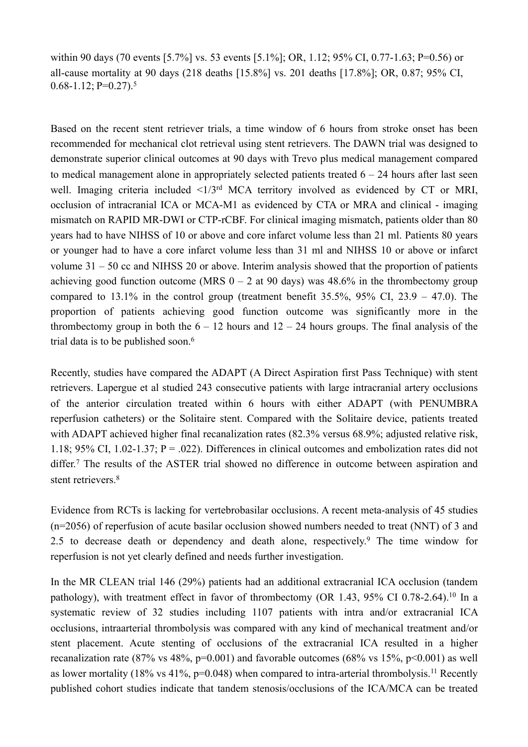within 90 days (70 events [5.7%] vs. 53 events [5.1%]; OR, 1.12; 95% CI, 0.77-1.63; P=0.56) or all-cause mortality at 90 days (218 deaths [15.8%] vs. 201 deaths [17.8%]; OR, 0.87; 95% CI,  $0.68-1.12$ ; P= $0.27$ ).<sup>5</sup>

Based on the recent stent retriever trials, a time window of 6 hours from stroke onset has been recommended for mechanical clot retrieval using stent retrievers. The DAWN trial was designed to demonstrate superior clinical outcomes at 90 days with Trevo plus medical management compared to medical management alone in appropriately selected patients treated  $6 - 24$  hours after last seen well. Imaging criteria included  $\leq 1/3$ <sup>rd</sup> MCA territory involved as evidenced by CT or MRI, occlusion of intracranial ICA or MCA-M1 as evidenced by CTA or MRA and clinical - imaging mismatch on RAPID MR-DWI or CTP-rCBF. For clinical imaging mismatch, patients older than 80 years had to have NIHSS of 10 or above and core infarct volume less than 21 ml. Patients 80 years or younger had to have a core infarct volume less than 31 ml and NIHSS 10 or above or infarct volume 31 – 50 cc and NIHSS 20 or above. Interim analysis showed that the proportion of patients achieving good function outcome (MRS  $0 - 2$  at 90 days) was 48.6% in the thrombectomy group compared to  $13.1\%$  in the control group (treatment benefit  $35.5\%$ ,  $95\%$  CI,  $23.9 - 47.0$ ). The proportion of patients achieving good function outcome was significantly more in the thrombectomy group in both the  $6 - 12$  hours and  $12 - 24$  hours groups. The final analysis of the trial data is to be published soon.<sup>6</sup>

Recently, studies have compared the ADAPT (A Direct Aspiration first Pass Technique) with stent retrievers. Lapergue et al studied 243 consecutive patients with large intracranial artery occlusions of the anterior circulation treated within 6 hours with either ADAPT (with PENUMBRA reperfusion catheters) or the Solitaire stent. Compared with the Solitaire device, patients treated with ADAPT achieved higher final recanalization rates (82.3% versus 68.9%; adjusted relative risk, 1.18; 95% CI, 1.02-1.37;  $P = .022$ ). Differences in clinical outcomes and embolization rates did not differ.7 The results of the ASTER trial showed no difference in outcome between aspiration and stent retrievers.<sup>8</sup>

Evidence from RCTs is lacking for vertebrobasilar occlusions. A recent meta-analysis of 45 studies (n=2056) of reperfusion of acute basilar occlusion showed numbers needed to treat (NNT) of 3 and 2.5 to decrease death or dependency and death alone, respectively.<sup>9</sup> The time window for reperfusion is not yet clearly defined and needs further investigation.

In the MR CLEAN trial 146 (29%) patients had an additional extracranial ICA occlusion (tandem pathology), with treatment effect in favor of thrombectomy (OR 1.43, 95% CI 0.78-2.64).<sup>10</sup> In a systematic review of 32 studies including 1107 patients with intra and/or extracranial ICA occlusions, intraarterial thrombolysis was compared with any kind of mechanical treatment and/or stent placement. Acute stenting of occlusions of the extracranial ICA resulted in a higher recanalization rate (87% vs 48%,  $p=0.001$ ) and favorable outcomes (68% vs 15%,  $p<0.001$ ) as well as lower mortality (18% vs 41%,  $p=0.048$ ) when compared to intra-arterial thrombolysis.<sup>11</sup> Recently published cohort studies indicate that tandem stenosis/occlusions of the ICA/MCA can be treated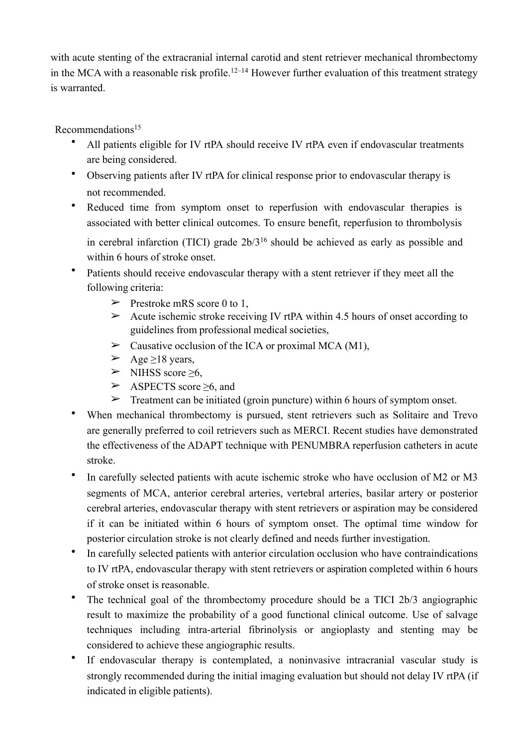with acute stenting of the extracranial internal carotid and stent retriever mechanical thrombectomy in the MCA with a reasonable risk profile.<sup>12–14</sup> However further evaluation of this treatment strategy is warranted.

Recommendations15

- All patients eligible for IV rtPA should receive IV rtPA even if endovascular treatments are being considered.
- Observing patients after IV rtPA for clinical response prior to endovascular therapy is not recommended.
- Reduced time from symptom onset to reperfusion with endovascular therapies is associated with better clinical outcomes. To ensure benefit, reperfusion to thrombolysis

in cerebral infarction (TICI) grade 2b/316 should be achieved as early as possible and within 6 hours of stroke onset.

- Patients should receive endovascular therapy with a stent retriever if they meet all the following criteria:
	- $\triangleright$  Prestroke mRS score 0 to 1.
	- $\geq$  Acute ischemic stroke receiving IV rtPA within 4.5 hours of onset according to guidelines from professional medical societies,
	- $\triangleright$  Causative occlusion of the ICA or proximal MCA (M1),
	- $\geq$  Age  $\geq$ 18 years,
	- $\triangleright$  NIHSS score  $\geq 6$ ,
	- ➢ ASPECTS score ≥6, and
	- $\triangleright$  Treatment can be initiated (groin puncture) within 6 hours of symptom onset.
- When mechanical thrombectomy is pursued, stent retrievers such as Solitaire and Trevo are generally preferred to coil retrievers such as MERCI. Recent studies have demonstrated the effectiveness of the ADAPT technique with PENUMBRA reperfusion catheters in acute stroke.
- In carefully selected patients with acute ischemic stroke who have occlusion of M2 or M3 segments of MCA, anterior cerebral arteries, vertebral arteries, basilar artery or posterior cerebral arteries, endovascular therapy with stent retrievers or aspiration may be considered if it can be initiated within 6 hours of symptom onset. The optimal time window for posterior circulation stroke is not clearly defined and needs further investigation.
- In carefully selected patients with anterior circulation occlusion who have contraindications to IV rtPA, endovascular therapy with stent retrievers or aspiration completed within 6 hours of stroke onset is reasonable.
- The technical goal of the thrombectomy procedure should be a TICI 2b/3 angiographic result to maximize the probability of a good functional clinical outcome. Use of salvage techniques including intra-arterial fibrinolysis or angioplasty and stenting may be considered to achieve these angiographic results.
- If endovascular therapy is contemplated, a noninvasive intracranial vascular study is strongly recommended during the initial imaging evaluation but should not delay IV rtPA (if indicated in eligible patients).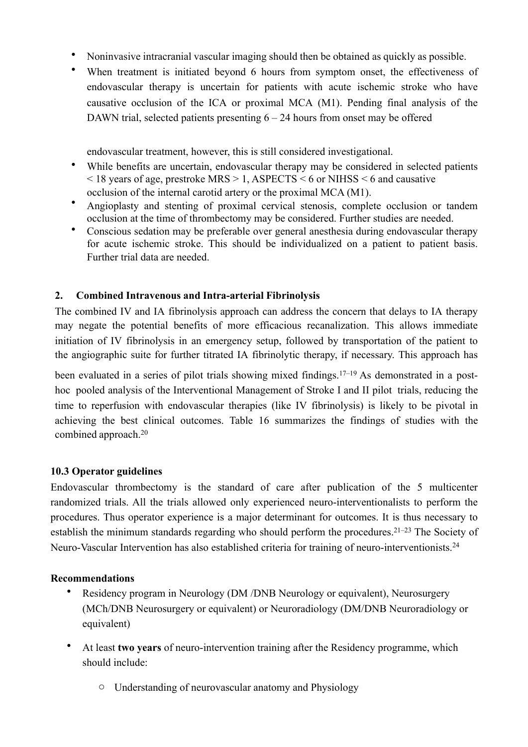- Noninvasive intracranial vascular imaging should then be obtained as quickly as possible.
- When treatment is initiated beyond 6 hours from symptom onset, the effectiveness of endovascular therapy is uncertain for patients with acute ischemic stroke who have causative occlusion of the ICA or proximal MCA (M1). Pending final analysis of the DAWN trial, selected patients presenting  $6 - 24$  hours from onset may be offered

endovascular treatment, however, this is still considered investigational.

- While benefits are uncertain, endovascular therapy may be considered in selected patients < 18 years of age, prestroke MRS > 1, ASPECTS < 6 or NIHSS < 6 and causative occlusion of the internal carotid artery or the proximal MCA (M1).
- Angioplasty and stenting of proximal cervical stenosis, complete occlusion or tandem occlusion at the time of thrombectomy may be considered. Further studies are needed.
- Conscious sedation may be preferable over general anesthesia during endovascular therapy for acute ischemic stroke. This should be individualized on a patient to patient basis. Further trial data are needed.

### **2. Combined Intravenous and Intra-arterial Fibrinolysis**

The combined IV and IA fibrinolysis approach can address the concern that delays to IA therapy may negate the potential benefits of more efficacious recanalization. This allows immediate initiation of IV fibrinolysis in an emergency setup, followed by transportation of the patient to the angiographic suite for further titrated IA fibrinolytic therapy, if necessary. This approach has

been evaluated in a series of pilot trials showing mixed findings.<sup>17–19</sup> As demonstrated in a posthoc pooled analysis of the Interventional Management of Stroke I and II pilot trials, reducing the time to reperfusion with endovascular therapies (like IV fibrinolysis) is likely to be pivotal in achieving the best clinical outcomes. Table 16 summarizes the findings of studies with the combined approach.20

#### **10.3 Operator guidelines**

Endovascular thrombectomy is the standard of care after publication of the 5 multicenter randomized trials. All the trials allowed only experienced neuro-interventionalists to perform the procedures. Thus operator experience is a major determinant for outcomes. It is thus necessary to establish the minimum standards regarding who should perform the procedures.21–23 The Society of Neuro-Vascular Intervention has also established criteria for training of neuro-interventionists.24

#### **Recommendations**

- Residency program in Neurology (DM /DNB Neurology or equivalent), Neurosurgery (MCh/DNB Neurosurgery or equivalent) or Neuroradiology (DM/DNB Neuroradiology or equivalent)
- At least **two years** of neuro-intervention training after the Residency programme, which should include:
	- o Understanding of neurovascular anatomy and Physiology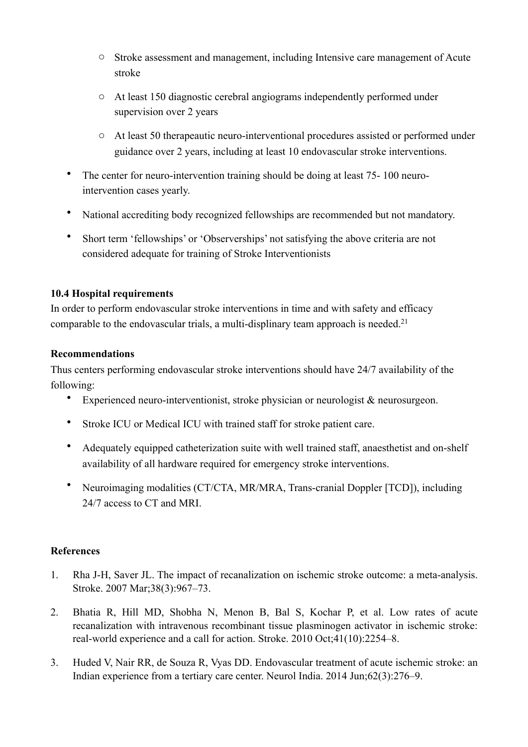- o Stroke assessment and management, including Intensive care management of Acute stroke
- o At least 150 diagnostic cerebral angiograms independently performed under supervision over 2 years
- o At least 50 therapeautic neuro-interventional procedures assisted or performed under guidance over 2 years, including at least 10 endovascular stroke interventions.
- The center for neuro-intervention training should be doing at least 75-100 neurointervention cases yearly.
- National accrediting body recognized fellowships are recommended but not mandatory.
- Short term 'fellowships' or 'Observerships' not satisfying the above criteria are not considered adequate for training of Stroke Interventionists

## **10.4 Hospital requirements**

In order to perform endovascular stroke interventions in time and with safety and efficacy comparable to the endovascular trials, a multi-displinary team approach is needed.<sup>21</sup>

## **Recommendations**

Thus centers performing endovascular stroke interventions should have 24/7 availability of the following:

- Experienced neuro-interventionist, stroke physician or neurologist & neurosurgeon.
- Stroke ICU or Medical ICU with trained staff for stroke patient care.
- Adequately equipped catheterization suite with well trained staff, anaesthetist and on-shelf availability of all hardware required for emergency stroke interventions.
- Neuroimaging modalities (CT/CTA, MR/MRA, Trans-cranial Doppler [TCD]), including 24/7 access to CT and MRI.

## **References**

- 1. Rha J-H, Saver JL. The impact of recanalization on ischemic stroke outcome: a meta-analysis. Stroke. 2007 Mar;38(3):967–73.
- 2. Bhatia R, Hill MD, Shobha N, Menon B, Bal S, Kochar P, et al. Low rates of acute recanalization with intravenous recombinant tissue plasminogen activator in ischemic stroke: real-world experience and a call for action. Stroke. 2010 Oct;41(10):2254–8.
- 3. Huded V, Nair RR, de Souza R, Vyas DD. Endovascular treatment of acute ischemic stroke: an Indian experience from a tertiary care center. Neurol India. 2014 Jun;62(3):276–9.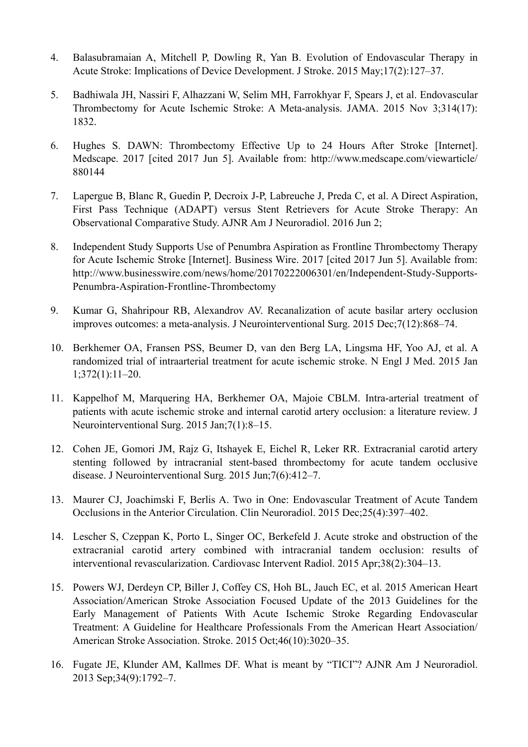- 4. Balasubramaian A, Mitchell P, Dowling R, Yan B. Evolution of Endovascular Therapy in Acute Stroke: Implications of Device Development. J Stroke. 2015 May;17(2):127–37.
- 5. Badhiwala JH, Nassiri F, Alhazzani W, Selim MH, Farrokhyar F, Spears J, et al. Endovascular Thrombectomy for Acute Ischemic Stroke: A Meta-analysis. JAMA. 2015 Nov 3;314(17): 1832.
- 6. Hughes S. DAWN: Thrombectomy Effective Up to 24 Hours After Stroke [Internet]. Medscape. 2017 [cited 2017 Jun 5]. Available from: http://www.medscape.com/viewarticle/ 880144
- 7. Lapergue B, Blanc R, Guedin P, Decroix J-P, Labreuche J, Preda C, et al. A Direct Aspiration, First Pass Technique (ADAPT) versus Stent Retrievers for Acute Stroke Therapy: An Observational Comparative Study. AJNR Am J Neuroradiol. 2016 Jun 2;
- 8. Independent Study Supports Use of Penumbra Aspiration as Frontline Thrombectomy Therapy for Acute Ischemic Stroke [Internet]. Business Wire. 2017 [cited 2017 Jun 5]. Available from: http://www.businesswire.com/news/home/20170222006301/en/Independent-Study-Supports-Penumbra-Aspiration-Frontline-Thrombectomy
- 9. Kumar G, Shahripour RB, Alexandrov AV. Recanalization of acute basilar artery occlusion improves outcomes: a meta-analysis. J Neurointerventional Surg. 2015 Dec;7(12):868–74.
- 10. Berkhemer OA, Fransen PSS, Beumer D, van den Berg LA, Lingsma HF, Yoo AJ, et al. A randomized trial of intraarterial treatment for acute ischemic stroke. N Engl J Med. 2015 Jan 1;372(1):11–20.
- 11. Kappelhof M, Marquering HA, Berkhemer OA, Majoie CBLM. Intra-arterial treatment of patients with acute ischemic stroke and internal carotid artery occlusion: a literature review. J Neurointerventional Surg. 2015 Jan;7(1):8–15.
- 12. Cohen JE, Gomori JM, Rajz G, Itshayek E, Eichel R, Leker RR. Extracranial carotid artery stenting followed by intracranial stent-based thrombectomy for acute tandem occlusive disease. J Neurointerventional Surg. 2015 Jun;7(6):412–7.
- 13. Maurer CJ, Joachimski F, Berlis A. Two in One: Endovascular Treatment of Acute Tandem Occlusions in the Anterior Circulation. Clin Neuroradiol. 2015 Dec;25(4):397–402.
- 14. Lescher S, Czeppan K, Porto L, Singer OC, Berkefeld J. Acute stroke and obstruction of the extracranial carotid artery combined with intracranial tandem occlusion: results of interventional revascularization. Cardiovasc Intervent Radiol. 2015 Apr;38(2):304–13.
- 15. Powers WJ, Derdeyn CP, Biller J, Coffey CS, Hoh BL, Jauch EC, et al. 2015 American Heart Association/American Stroke Association Focused Update of the 2013 Guidelines for the Early Management of Patients With Acute Ischemic Stroke Regarding Endovascular Treatment: A Guideline for Healthcare Professionals From the American Heart Association/ American Stroke Association. Stroke. 2015 Oct;46(10):3020–35.
- 16. Fugate JE, Klunder AM, Kallmes DF. What is meant by "TICI"? AJNR Am J Neuroradiol. 2013 Sep;34(9):1792–7.